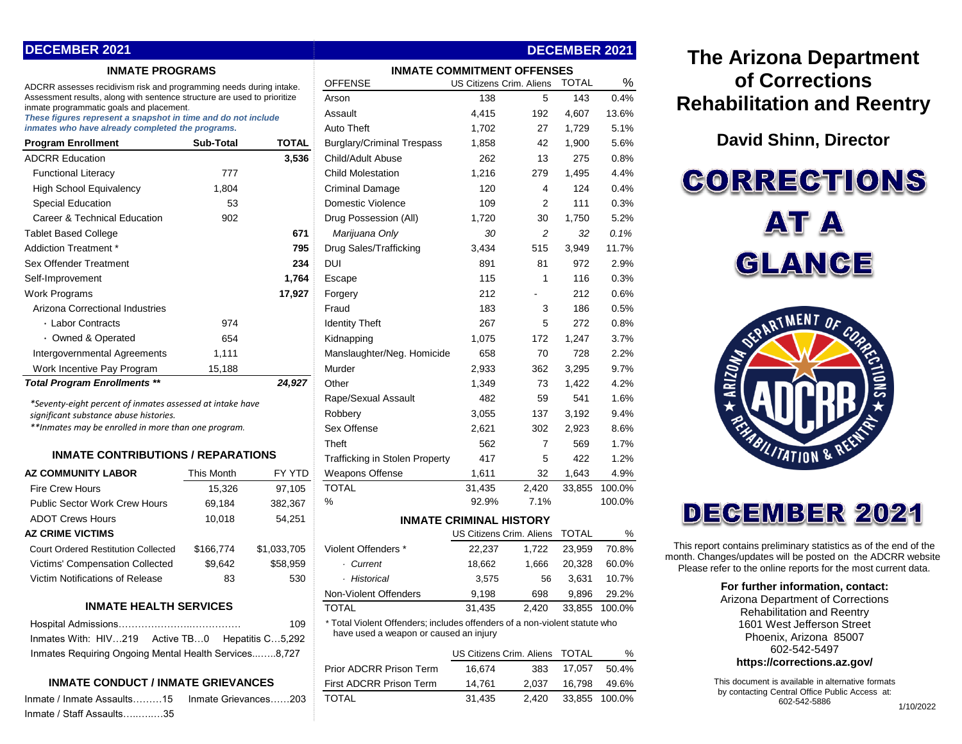| <b>DECEMBER 2021</b>                                                                                      |           |              |                                   |                          |     | <b>DECEMBER 2021</b> |       |
|-----------------------------------------------------------------------------------------------------------|-----------|--------------|-----------------------------------|--------------------------|-----|----------------------|-------|
| <b>INMATE PROGRAMS</b>                                                                                    |           |              | <b>INMATE COMMITMENT OFFENSES</b> |                          |     |                      |       |
| ADCRR assesses recidivism risk and programming needs during intake.                                       |           |              | <b>OFFENSE</b>                    | US Citizens Crim. Aliens |     | <b>TOTAL</b>         | %     |
| Assessment results, along with sentence structure are used to prioritize                                  |           |              | Arson                             | 138                      | 5   | 143                  | 0.4%  |
| inmate programmatic goals and placement.<br>These figures represent a snapshot in time and do not include |           |              | Assault                           | 4,415                    | 192 | 4,607                | 13.6% |
| inmates who have already completed the programs.                                                          |           |              | <b>Auto Theft</b>                 | 1,702                    | 27  | 1,729                | 5.1%  |
| <b>Program Enrollment</b>                                                                                 | Sub-Total | <b>TOTAL</b> | <b>Burglary/Criminal Trespass</b> | 1,858                    | 42  | 1,900                | 5.6%  |
| <b>ADCRR Education</b>                                                                                    |           | 3,536        | Child/Adult Abuse                 | 262                      | 13  | 275                  | 0.8%  |
| <b>Functional Literacy</b>                                                                                | 777       |              | <b>Child Molestation</b>          | 1,216                    | 279 | 1,495                | 4.4%  |
| <b>High School Equivalency</b>                                                                            | 1,804     |              | <b>Criminal Damage</b>            | 120                      | 4   | 124                  | 0.4%  |
| <b>Special Education</b>                                                                                  | 53        |              | Domestic Violence                 | 109                      | 2   | 111                  | 0.3%  |
| Career & Technical Education                                                                              | 902       |              | Drug Possession (All)             | 1,720                    | 30  | 1,750                | 5.2%  |
| <b>Tablet Based College</b>                                                                               |           | 671          | Marijuana Only                    | 30                       | 2   | 32                   | 0.1%  |
| Addiction Treatment *                                                                                     |           | 795          | Drug Sales/Trafficking            | 3,434                    | 515 | 3,949                | 11.7% |
| <b>Sex Offender Treatment</b>                                                                             |           | 234          | DUI                               | 891                      | 81  | 972                  | 2.9%  |
| Self-Improvement                                                                                          |           | 1,764        | Escape                            | 115                      | 1   | 116                  | 0.3%  |
| <b>Work Programs</b>                                                                                      |           | 17,927       | Forgery                           | 212                      |     | 212                  | 0.6%  |
| Arizona Correctional Industries                                                                           |           |              | Fraud                             | 183                      | 3   | 186                  | 0.5%  |
| • Labor Contracts                                                                                         | 974       |              | <b>Identity Theft</b>             | 267                      | 5   | 272                  | 0.8%  |
| · Owned & Operated                                                                                        | 654       |              | Kidnapping                        | 1,075                    | 172 | 1,247                | 3.7%  |
| Intergovernmental Agreements                                                                              | 1,111     |              | Manslaughter/Neg. Homicide        | 658                      | 70  | 728                  | 2.2%  |
| Work Incentive Pay Program                                                                                | 15,188    |              | Murder                            | 2,933                    | 362 | 3,295                | 9.7%  |
| <b>Total Program Enrollments **</b>                                                                       |           | 24,927       | Other                             | 1,349                    | 73  | 1,422                | 4.2%  |
| *Seventy-eight percent of inmates assessed at intake have                                                 |           |              | Rape/Sexual Assault               | 482                      | 59  | 541                  | 1.6%  |
| significant substance abuse histories.                                                                    |           |              | Robbery                           | 3,055                    | 137 | 3,192                | 9.4%  |

## **INMATE CONTRIBUTIONS / REPARATIONS**

| <b>AZ COMMUNITY LABOR</b>                  | This Month | FY YTD      |  |  |  |  |
|--------------------------------------------|------------|-------------|--|--|--|--|
| <b>Fire Crew Hours</b>                     | 15,326     | 97,105      |  |  |  |  |
| <b>Public Sector Work Crew Hours</b>       | 69,184     | 382,367     |  |  |  |  |
| <b>ADOT Crews Hours</b>                    | 10,018     | 54,251      |  |  |  |  |
| <b>AZ CRIME VICTIMS</b>                    |            |             |  |  |  |  |
| <b>Court Ordered Restitution Collected</b> | \$166.774  | \$1,033,705 |  |  |  |  |
| <b>Victims' Compensation Collected</b>     | \$9,642    | \$58,959    |  |  |  |  |
| Victim Notifications of Release            | 83         | 530         |  |  |  |  |
|                                            |            |             |  |  |  |  |
| INMATE HEAI TH SEDVICES                    |            |             |  |  |  |  |

#### **INMATE HEALTH SERVICES**

|                                                       | 109 |
|-------------------------------------------------------|-----|
| Inmates With: HIV219 Active TB0 Hepatitis C5,292      |     |
| Inmates Requiring Ongoing Mental Health Services8,727 |     |

# **INMATE CONDUCT / INMATE GRIEVANCES**

Inmate / Inmate Assaults………15 Inmate Grievances……203 TOTAL 31,435 2,420 33,855 100.0% Inmate / Staff Assaults…..…..…35

| <b>INMATE PROGRAMS</b>                                                                                    |            |                                        | <b>INMATE COMMITMENT OFFENSES</b>                                          |                                |                |              |        |
|-----------------------------------------------------------------------------------------------------------|------------|----------------------------------------|----------------------------------------------------------------------------|--------------------------------|----------------|--------------|--------|
| ADCRR assesses recidivism risk and programming needs during intake.                                       |            |                                        | <b>OFFENSE</b>                                                             | US Citizens Crim. Aliens       |                | <b>TOTAL</b> | $\%$   |
| Assessment results, along with sentence structure are used to prioritize                                  |            | Arson                                  | 138                                                                        | 5                              | 143            | 0.4%         |        |
| inmate programmatic goals and placement.<br>These figures represent a snapshot in time and do not include |            | Assault                                | 4,415                                                                      | 192                            | 4,607          | 13.6%        |        |
| inmates who have already completed the programs.                                                          |            | <b>Auto Theft</b>                      | 1,702                                                                      | 27                             | 1,729          | 5.1%         |        |
| <b>Program Enrollment</b>                                                                                 | Sub-Total  | <b>TOTAL</b>                           | <b>Burglary/Criminal Trespass</b>                                          | 1,858                          | 42             | 1,900        | 5.6%   |
| <b>ADCRR Education</b>                                                                                    |            | 3,536                                  | Child/Adult Abuse                                                          | 262                            | 13             | 275          | 0.8%   |
| <b>Functional Literacy</b>                                                                                | 777        |                                        | <b>Child Molestation</b>                                                   | 1,216                          | 279            | 1,495        | 4.4%   |
| <b>High School Equivalency</b>                                                                            | 1,804      |                                        | Criminal Damage                                                            | 120                            | 4              | 124          | 0.4%   |
| <b>Special Education</b>                                                                                  | 53         |                                        | Domestic Violence                                                          | 109                            | $\overline{2}$ | 111          | 0.3%   |
| Career & Technical Education                                                                              | 902        |                                        | Drug Possession (All)                                                      | 1,720                          | 30             | 1,750        | 5.2%   |
| Tablet Based College                                                                                      |            | 671                                    | Marijuana Only                                                             | 30                             | $\overline{c}$ | 32           | 0.1%   |
| Addiction Treatment *                                                                                     |            | 795                                    | Drug Sales/Trafficking                                                     | 3,434                          | 515            | 3,949        | 11.7%  |
| Sex Offender Treatment                                                                                    |            | 234                                    | DUI                                                                        | 891                            | 81             | 972          | 2.9%   |
| Self-Improvement                                                                                          |            | 1,764                                  | Escape                                                                     | 115                            | $\mathbf{1}$   | 116          | 0.3%   |
| Work Programs                                                                                             |            | 17,927                                 | Forgery                                                                    | 212                            |                | 212          | 0.6%   |
| Arizona Correctional Industries                                                                           |            |                                        | Fraud                                                                      | 183                            | 3              | 186          | 0.5%   |
| · Labor Contracts                                                                                         | 974        |                                        | <b>Identity Theft</b>                                                      | 267                            | 5              | 272          | 0.8%   |
| • Owned & Operated                                                                                        | 654        |                                        | Kidnapping                                                                 | 1,075                          | 172            | 1,247        | 3.7%   |
| Intergovernmental Agreements                                                                              | 1,111      |                                        | Manslaughter/Neg. Homicide                                                 | 658                            | 70             | 728          | 2.2%   |
| Work Incentive Pay Program                                                                                | 15,188     |                                        | Murder                                                                     | 2,933                          | 362            | 3,295        | 9.7%   |
| <b>Total Program Enrollments **</b>                                                                       |            | 24,927                                 | Other                                                                      | 1,349                          | 73             | 1,422        | 4.2%   |
| *Seventy-eight percent of inmates assessed at intake have                                                 |            |                                        | Rape/Sexual Assault                                                        | 482                            | 59             | 541          | 1.6%   |
| significant substance abuse histories.                                                                    |            |                                        | Robbery                                                                    | 3,055                          | 137            | 3,192        | 9.4%   |
| **Inmates may be enrolled in more than one program.                                                       |            | Sex Offense                            | 2,621                                                                      | 302                            | 2,923          | 8.6%         |        |
|                                                                                                           |            |                                        | Theft                                                                      | 562                            | $\overline{7}$ | 569          | 1.7%   |
| <b>INMATE CONTRIBUTIONS / REPARATIONS</b>                                                                 |            |                                        | <b>Trafficking in Stolen Property</b>                                      | 417                            | 5              | 422          | 1.2%   |
| <b>AZ COMMUNITY LABOR</b>                                                                                 | This Month | FY YTD                                 | Weapons Offense                                                            | 1,611                          | 32             | 1,643        | 4.9%   |
| <b>Fire Crew Hours</b>                                                                                    | 15,326     | 97,105                                 | <b>TOTAL</b>                                                               | 31,435                         | 2.420          | 33.855       | 100.0% |
| <b>Public Sector Work Crew Hours</b>                                                                      | 69,184     | 382,367                                | %                                                                          | 92.9%                          | 7.1%           |              | 100.0% |
| <b>ADOT Crews Hours</b>                                                                                   | 10,018     | 54,251                                 |                                                                            | <b>INMATE CRIMINAL HISTORY</b> |                |              |        |
| <b>AZ CRIME VICTIMS</b>                                                                                   |            |                                        |                                                                            | US Citizens Crim. Aliens       |                | <b>TOTAL</b> | %      |
| <b>Court Ordered Restitution Collected</b>                                                                | \$166,774  | \$1,033,705                            | Violent Offenders *                                                        | 22,237                         | 1,722          | 23,959       | 70.8%  |
| Victims' Compensation Collected                                                                           | \$9,642    | \$58,959                               | · Current                                                                  | 18,662                         | 1,666          | 20,328       | 60.0%  |
| Victim Notifications of Release                                                                           | 83         | 530                                    | · Historical                                                               | 3,575                          | 56             | 3,631        | 10.7%  |
|                                                                                                           |            |                                        | Non-Violent Offenders                                                      | 9,198                          | 698            | 9,896        | 29.2%  |
| <b>INMATE HEALTH SERVICES</b>                                                                             |            |                                        | TOTAI                                                                      | 31,435                         | 2,420          | 33,855       | 100.0% |
|                                                                                                           |            | 109                                    | * Total Violent Offenders; includes offenders of a non-violent statute who |                                |                |              |        |
| Inmates With: HIV219<br>Active TB0<br>Hepatitis C5,292                                                    |            | have used a weapon or caused an injury |                                                                            |                                |                |              |        |
| Inmates Requiring Ongoing Mental Health Services8,727                                                     |            |                                        |                                                                            | US Citizens Crim. Aliens       |                | <b>TOTAL</b> | %      |
|                                                                                                           |            |                                        | <b>Prior ADCRR Prison Term</b>                                             | 16,674                         | 383            | 17,057       | 50.4%  |
| <b>INMATE CONDUCT / INMATE GRIEVANCES</b>                                                                 |            |                                        | First ADCRR Prison Term                                                    | 14,761                         | 2,037          | 16,798       | 49.6%  |

# **The Arizona Department of Corrections Rehabilitation and Reentry**

**David Shinn, Director**

**CORRECTIONS AT A** GLANCE



# **DECEMBER 2021**

This report contains preliminary statistics as of the end of the month. Changes/updates will be posted on the ADCRR website. Please refer to the online reports for the most current data.

#### **For further information, contact:**

Arizona Department of Corrections Rehabilitation and Reentry 1601 West Jefferson Street Phoenix, Arizona 85007 602-542-5497 **https://corrections.az.gov/**

This document is available in alternative formats by contacting Central Office Public Access at: 602-542-5886